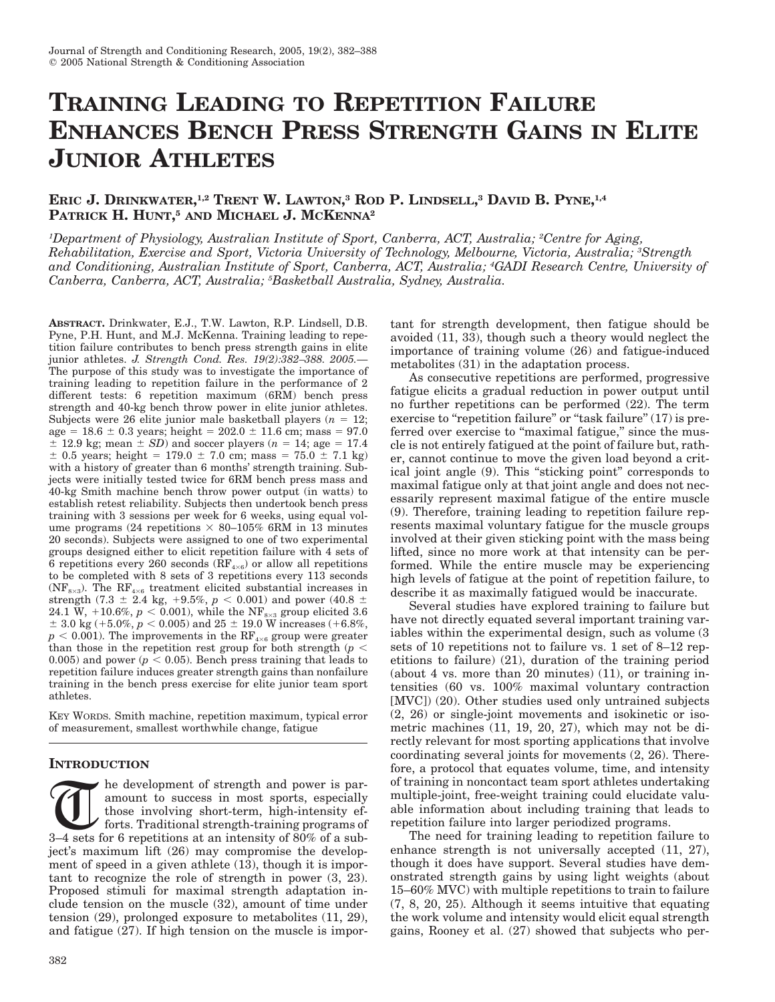# **TRAINING LEADING TO REPETITION FAILURE ENHANCES BENCH PRESS STRENGTH GAINS IN ELITE JUNIOR ATHLETES**

# **ERIC J. DRINKWATER, 1,2 TRENT W. LAWTON, <sup>3</sup> ROD P. LINDSELL, <sup>3</sup> DAVID B. PYNE, 1,4 PATRICK H. HUNT, <sup>5</sup> AND MICHAEL J. MCKENNA2**

*1Department of Physiology, Australian Institute of Sport, Canberra, ACT, Australia; 2Centre for Aging, Rehabilitation, Exercise and Sport, Victoria University of Technology, Melbourne, Victoria, Australia; 3Strength and Conditioning, Australian Institute of Sport, Canberra, ACT, Australia; 4GADI Research Centre, University of Canberra, Canberra, ACT, Australia; 5Basketball Australia, Sydney, Australia.*

**ABSTRACT.** Drinkwater, E.J., T.W. Lawton, R.P. Lindsell, D.B. Pyne, P.H. Hunt, and M.J. McKenna. Training leading to repetition failure contributes to bench press strength gains in elite junior athletes. *J. Strength Cond. Res. 19(2):382–388. 2005.*— The purpose of this study was to investigate the importance of training leading to repetition failure in the performance of 2 different tests: 6 repetition maximum (6RM) bench press strength and 40-kg bench throw power in elite junior athletes. Subjects were 26 elite junior male basketball players  $(n = 12;$ age =  $18.6 \pm 0.3$  years; height =  $202.0 \pm 11.6$  cm; mass = 97.0  $\pm$  12.9 kg; mean  $\pm$  *SD*) and soccer players ( $n = 14$ ; age = 17.4  $\pm$  0.5 years; height = 179.0  $\pm$  7.0 cm; mass = 75.0  $\pm$  7.1 kg) with a history of greater than 6 months' strength training. Subjects were initially tested twice for 6RM bench press mass and 40-kg Smith machine bench throw power output (in watts) to establish retest reliability. Subjects then undertook bench press training with 3 sessions per week for 6 weeks, using equal volume programs (24 repetitions  $\times$  80–105% 6RM in 13 minutes 20 seconds). Subjects were assigned to one of two experimental groups designed either to elicit repetition failure with 4 sets of 6 repetitions every 260 seconds  $(RF_{4\times 6})$  or allow all repetitions to be completed with 8 sets of 3 repetitions every 113 seconds (NF<sub>8×3</sub>). The RF<sub>4×6</sub> treatment elicited substantial increases in strength (7.3  $\pm$  2.4 kg, +9.5%, *p* < 0.001) and power (40.8  $\pm$  $24.1 \text{ W}, \ +10.6\%, \ p < 0.001),$  while the  $\text{NF}_{\text{s} \times \text{s}}$  group elicited  $3.6$  $\pm$  3.0 kg (+5.0%,  $p < 0.005$ ) and 25  $\pm$  19.0 W increases (+6.8%,  $p < 0.001$ ). The improvements in the RF<sub>4×6</sub> group were greater than those in the repetition rest group for both strength  $(p <$ 0.005) and power  $(p < 0.05)$ . Bench press training that leads to repetition failure induces greater strength gains than nonfailure training in the bench press exercise for elite junior team sport athletes.

KEY WORDS. Smith machine, repetition maximum, typical error of measurement, smallest worthwhile change, fatigue

## **INTRODUCTION**

The development of strength and power is paramount to success in most sports, especially those involving short-term, high-intensity ef-<br>3–4 sets for 6 repetitions at an intensity of 80% of a subamount to success in most sports, especially those involving short-term, high-intensity efforts. Traditional strength-training programs of ject's maximum lift (26) may compromise the development of speed in a given athlete (13), though it is important to recognize the role of strength in power (3, 23). Proposed stimuli for maximal strength adaptation include tension on the muscle (32), amount of time under tension (29), prolonged exposure to metabolites (11, 29), and fatigue (27). If high tension on the muscle is important for strength development, then fatigue should be avoided (11, 33), though such a theory would neglect the importance of training volume (26) and fatigue-induced metabolites (31) in the adaptation process.

As consecutive repetitions are performed, progressive fatigue elicits a gradual reduction in power output until no further repetitions can be performed (22). The term exercise to "repetition failure" or "task failure" (17) is preferred over exercise to "maximal fatigue," since the muscle is not entirely fatigued at the point of failure but, rather, cannot continue to move the given load beyond a critical joint angle (9). This "sticking point" corresponds to maximal fatigue only at that joint angle and does not necessarily represent maximal fatigue of the entire muscle (9). Therefore, training leading to repetition failure represents maximal voluntary fatigue for the muscle groups involved at their given sticking point with the mass being lifted, since no more work at that intensity can be performed. While the entire muscle may be experiencing high levels of fatigue at the point of repetition failure, to describe it as maximally fatigued would be inaccurate.

Several studies have explored training to failure but have not directly equated several important training variables within the experimental design, such as volume (3 sets of 10 repetitions not to failure vs. 1 set of 8–12 repetitions to failure) (21), duration of the training period (about 4 vs. more than 20 minutes) (11), or training intensities (60 vs. 100% maximal voluntary contraction [MVC]) (20). Other studies used only untrained subjects (2, 26) or single-joint movements and isokinetic or isometric machines (11, 19, 20, 27), which may not be directly relevant for most sporting applications that involve coordinating several joints for movements (2, 26). Therefore, a protocol that equates volume, time, and intensity of training in noncontact team sport athletes undertaking multiple-joint, free-weight training could elucidate valuable information about including training that leads to repetition failure into larger periodized programs.

The need for training leading to repetition failure to enhance strength is not universally accepted (11, 27), though it does have support. Several studies have demonstrated strength gains by using light weights (about 15–60% MVC) with multiple repetitions to train to failure (7, 8, 20, 25). Although it seems intuitive that equating the work volume and intensity would elicit equal strength gains, Rooney et al. (27) showed that subjects who per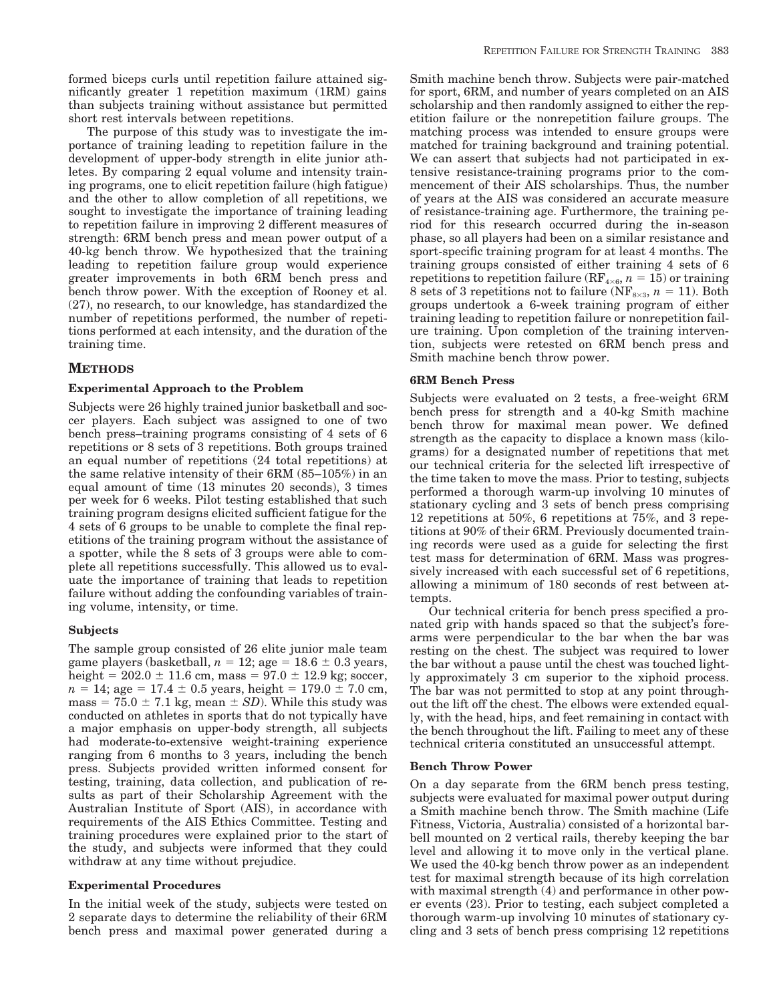formed biceps curls until repetition failure attained significantly greater 1 repetition maximum (1RM) gains than subjects training without assistance but permitted short rest intervals between repetitions.

The purpose of this study was to investigate the importance of training leading to repetition failure in the development of upper-body strength in elite junior athletes. By comparing 2 equal volume and intensity training programs, one to elicit repetition failure (high fatigue) and the other to allow completion of all repetitions, we sought to investigate the importance of training leading to repetition failure in improving 2 different measures of strength: 6RM bench press and mean power output of a 40-kg bench throw. We hypothesized that the training leading to repetition failure group would experience greater improvements in both 6RM bench press and bench throw power. With the exception of Rooney et al. (27), no research, to our knowledge, has standardized the number of repetitions performed, the number of repetitions performed at each intensity, and the duration of the training time.

## **METHODS**

## **Experimental Approach to the Problem**

Subjects were 26 highly trained junior basketball and soccer players. Each subject was assigned to one of two bench press–training programs consisting of 4 sets of 6 repetitions or 8 sets of 3 repetitions. Both groups trained an equal number of repetitions (24 total repetitions) at the same relative intensity of their 6RM (85–105%) in an equal amount of time (13 minutes 20 seconds), 3 times per week for 6 weeks. Pilot testing established that such training program designs elicited sufficient fatigue for the 4 sets of 6 groups to be unable to complete the final repetitions of the training program without the assistance of a spotter, while the 8 sets of 3 groups were able to complete all repetitions successfully. This allowed us to evaluate the importance of training that leads to repetition failure without adding the confounding variables of training volume, intensity, or time.

## **Subjects**

The sample group consisted of 26 elite junior male team game players (basketball,  $n = 12$ ; age =  $18.6 \pm 0.3$  years, height =  $202.0 \pm 11.6$  cm, mass =  $97.0 \pm 12.9$  kg; soccer,  $n = 14$ ; age = 17.4  $\pm$  0.5 years, height = 179.0  $\pm$  7.0 cm, mass =  $75.0 \pm 7.1$  kg, mean  $\pm SD$ ). While this study was conducted on athletes in sports that do not typically have a major emphasis on upper-body strength, all subjects had moderate-to-extensive weight-training experience ranging from 6 months to 3 years, including the bench press. Subjects provided written informed consent for testing, training, data collection, and publication of results as part of their Scholarship Agreement with the Australian Institute of Sport (AIS), in accordance with requirements of the AIS Ethics Committee. Testing and training procedures were explained prior to the start of the study, and subjects were informed that they could withdraw at any time without prejudice.

## **Experimental Procedures**

In the initial week of the study, subjects were tested on 2 separate days to determine the reliability of their 6RM bench press and maximal power generated during a

Smith machine bench throw. Subjects were pair-matched for sport, 6RM, and number of years completed on an AIS scholarship and then randomly assigned to either the repetition failure or the nonrepetition failure groups. The matching process was intended to ensure groups were matched for training background and training potential. We can assert that subjects had not participated in extensive resistance-training programs prior to the commencement of their AIS scholarships. Thus, the number of years at the AIS was considered an accurate measure of resistance-training age. Furthermore, the training period for this research occurred during the in-season phase, so all players had been on a similar resistance and sport-specific training program for at least 4 months. The training groups consisted of either training 4 sets of 6 repetitions to repetition failure (RF<sub>4×6</sub>,  $n = 15$ ) or training 8 sets of 3 repetitions not to failure ( $NF_{8\times3}$ ,  $n = 11$ ). Both groups undertook a 6-week training program of either training leading to repetition failure or nonrepetition failure training. Upon completion of the training intervention, subjects were retested on 6RM bench press and Smith machine bench throw power.

## **6RM Bench Press**

Subjects were evaluated on 2 tests, a free-weight 6RM bench press for strength and a 40-kg Smith machine bench throw for maximal mean power. We defined strength as the capacity to displace a known mass (kilograms) for a designated number of repetitions that met our technical criteria for the selected lift irrespective of the time taken to move the mass. Prior to testing, subjects performed a thorough warm-up involving 10 minutes of stationary cycling and 3 sets of bench press comprising 12 repetitions at 50%, 6 repetitions at 75%, and 3 repetitions at 90% of their 6RM. Previously documented training records were used as a guide for selecting the first test mass for determination of 6RM. Mass was progressively increased with each successful set of 6 repetitions, allowing a minimum of 180 seconds of rest between attempts.

Our technical criteria for bench press specified a pronated grip with hands spaced so that the subject's forearms were perpendicular to the bar when the bar was resting on the chest. The subject was required to lower the bar without a pause until the chest was touched lightly approximately 3 cm superior to the xiphoid process. The bar was not permitted to stop at any point throughout the lift off the chest. The elbows were extended equally, with the head, hips, and feet remaining in contact with the bench throughout the lift. Failing to meet any of these technical criteria constituted an unsuccessful attempt.

#### **Bench Throw Power**

On a day separate from the 6RM bench press testing, subjects were evaluated for maximal power output during a Smith machine bench throw. The Smith machine (Life Fitness, Victoria, Australia) consisted of a horizontal barbell mounted on 2 vertical rails, thereby keeping the bar level and allowing it to move only in the vertical plane. We used the 40-kg bench throw power as an independent test for maximal strength because of its high correlation with maximal strength (4) and performance in other power events (23). Prior to testing, each subject completed a thorough warm-up involving 10 minutes of stationary cycling and 3 sets of bench press comprising 12 repetitions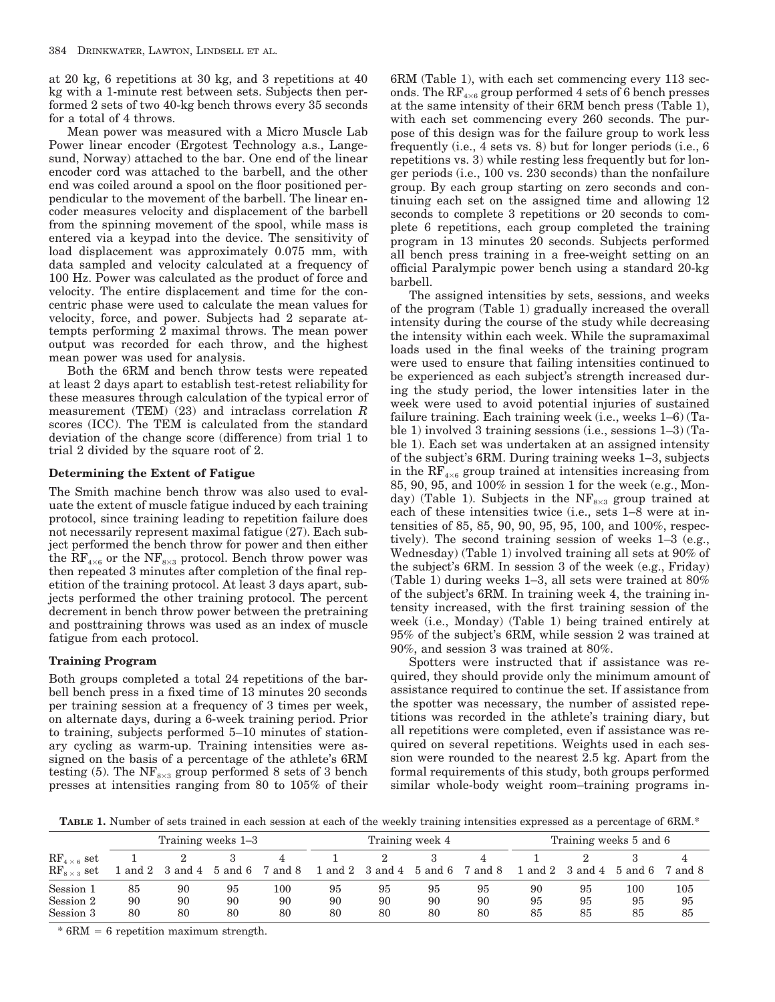at 20 kg, 6 repetitions at 30 kg, and 3 repetitions at 40 kg with a 1-minute rest between sets. Subjects then performed 2 sets of two 40-kg bench throws every 35 seconds for a total of 4 throws.

Mean power was measured with a Micro Muscle Lab Power linear encoder (Ergotest Technology a.s., Langesund, Norway) attached to the bar. One end of the linear encoder cord was attached to the barbell, and the other end was coiled around a spool on the floor positioned perpendicular to the movement of the barbell. The linear encoder measures velocity and displacement of the barbell from the spinning movement of the spool, while mass is entered via a keypad into the device. The sensitivity of load displacement was approximately 0.075 mm, with data sampled and velocity calculated at a frequency of 100 Hz. Power was calculated as the product of force and velocity. The entire displacement and time for the concentric phase were used to calculate the mean values for velocity, force, and power. Subjects had 2 separate attempts performing 2 maximal throws. The mean power output was recorded for each throw, and the highest mean power was used for analysis.

Both the 6RM and bench throw tests were repeated at least 2 days apart to establish test-retest reliability for these measures through calculation of the typical error of measurement (TEM) (23) and intraclass correlation *R* scores (ICC). The TEM is calculated from the standard deviation of the change score (difference) from trial 1 to trial 2 divided by the square root of 2.

## **Determining the Extent of Fatigue**

The Smith machine bench throw was also used to evaluate the extent of muscle fatigue induced by each training protocol, since training leading to repetition failure does not necessarily represent maximal fatigue (27). Each subject performed the bench throw for power and then either the  $\text{RF}_{4\times6}$  or the  $\text{NF}_{8\times3}$  protocol. Bench throw power was then repeated 3 minutes after completion of the final repetition of the training protocol. At least 3 days apart, subjects performed the other training protocol. The percent decrement in bench throw power between the pretraining and posttraining throws was used as an index of muscle fatigue from each protocol.

## **Training Program**

Both groups completed a total 24 repetitions of the barbell bench press in a fixed time of 13 minutes 20 seconds per training session at a frequency of 3 times per week, on alternate days, during a 6-week training period. Prior to training, subjects performed 5–10 minutes of stationary cycling as warm-up. Training intensities were assigned on the basis of a percentage of the athlete's 6RM testing (5). The  $NF_{8\times3}$  group performed 8 sets of 3 bench presses at intensities ranging from 80 to 105% of their 6RM (Table 1), with each set commencing every 113 seconds. The  $RF_{4\times6}$  group performed 4 sets of 6 bench presses at the same intensity of their 6RM bench press (Table 1), with each set commencing every 260 seconds. The purpose of this design was for the failure group to work less frequently (i.e., 4 sets vs. 8) but for longer periods (i.e., 6 repetitions vs. 3) while resting less frequently but for longer periods (i.e., 100 vs. 230 seconds) than the nonfailure group. By each group starting on zero seconds and continuing each set on the assigned time and allowing 12 seconds to complete 3 repetitions or 20 seconds to complete 6 repetitions, each group completed the training program in 13 minutes 20 seconds. Subjects performed all bench press training in a free-weight setting on an official Paralympic power bench using a standard 20-kg barbell.

The assigned intensities by sets, sessions, and weeks of the program (Table 1) gradually increased the overall intensity during the course of the study while decreasing the intensity within each week. While the supramaximal loads used in the final weeks of the training program were used to ensure that failing intensities continued to be experienced as each subject's strength increased during the study period, the lower intensities later in the week were used to avoid potential injuries of sustained failure training. Each training week (i.e., weeks 1–6) (Table 1) involved 3 training sessions (i.e., sessions 1–3) (Table 1). Each set was undertaken at an assigned intensity of the subject's 6RM. During training weeks 1–3, subjects in the  $\text{RF}_{4\times6}$  group trained at intensities increasing from 85, 90, 95, and 100% in session 1 for the week (e.g., Monday) (Table 1). Subjects in the  $NF_{8\times3}$  group trained at each of these intensities twice (i.e., sets 1–8 were at intensities of 85, 85, 90, 90, 95, 95, 100, and 100%, respectively). The second training session of weeks 1–3 (e.g., Wednesday) (Table 1) involved training all sets at 90% of the subject's 6RM. In session 3 of the week (e.g., Friday) (Table 1) during weeks 1–3, all sets were trained at 80% of the subject's 6RM. In training week 4, the training intensity increased, with the first training session of the week (i.e., Monday) (Table 1) being trained entirely at 95% of the subject's 6RM, while session 2 was trained at 90%, and session 3 was trained at 80%.

Spotters were instructed that if assistance was required, they should provide only the minimum amount of assistance required to continue the set. If assistance from the spotter was necessary, the number of assisted repetitions was recorded in the athlete's training diary, but all repetitions were completed, even if assistance was required on several repetitions. Weights used in each session were rounded to the nearest 2.5 kg. Apart from the formal requirements of this study, both groups performed similar whole-body weight room–training programs in-

**TABLE 1.** Number of sets trained in each session at each of the weekly training intensities expressed as a percentage of  $6RM.*$ 

|                                              | Training weeks 1–3 |                |                |                     | Training week 4 |                         |                |                | Training weeks 5 and 6 |                                    |                     |                 |
|----------------------------------------------|--------------------|----------------|----------------|---------------------|-----------------|-------------------------|----------------|----------------|------------------------|------------------------------------|---------------------|-----------------|
| $RF_{4\times 6}$ set<br>$RF_{8\times 3}$ set | 1 and 2            | 3 and 4        |                | 5 and 6 7 and 8     |                 | 1 and 2 3 and 4 5 and 6 |                | 7 and 8        |                        | $\frac{1 \text{ and } 2}{3}$ and 4 | $5$ and $6$         | 7 and 8         |
| Session 1<br>Session 2<br>Session 3          | 85<br>90<br>80     | 90<br>90<br>80 | 95<br>90<br>80 | $100\,$<br>90<br>80 | 95<br>90<br>80  | 95<br>90<br>80          | 95<br>90<br>80 | 95<br>90<br>80 | 90<br>95<br>85         | 95<br>95<br>85                     | $100\,$<br>95<br>85 | 105<br>95<br>85 |

 $* 6RM = 6$  repetition maximum strength.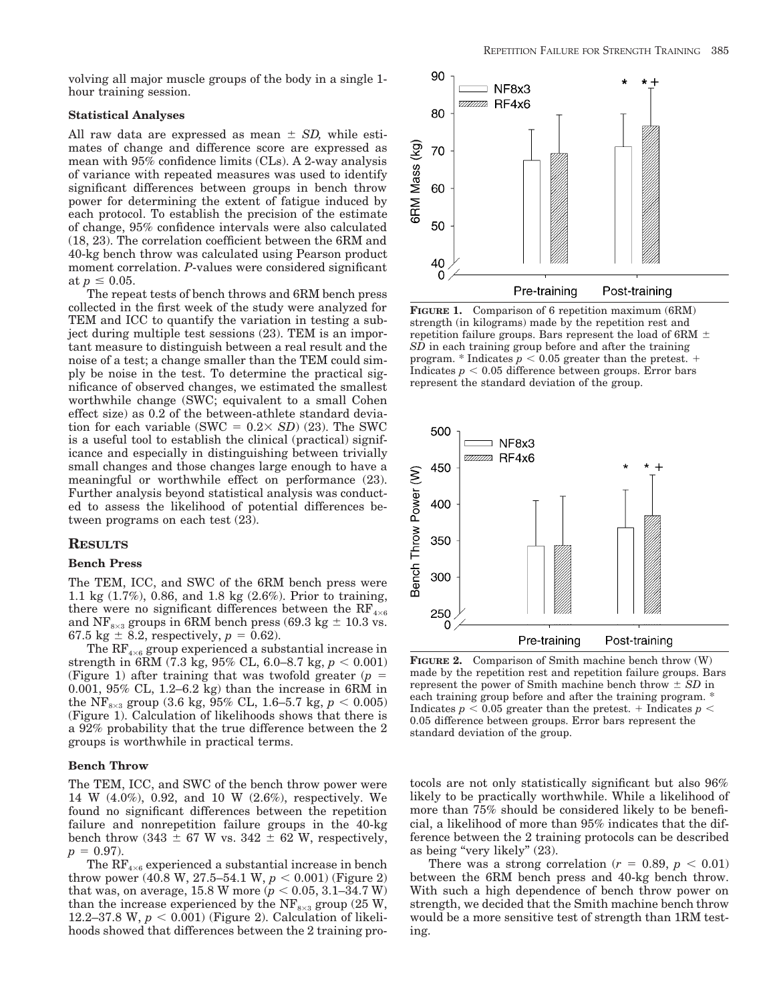volving all major muscle groups of the body in a single 1 hour training session.

## **Statistical Analyses**

All raw data are expressed as mean  $\pm$  *SD*, while estimates of change and difference score are expressed as mean with 95% confidence limits (CLs). A 2-way analysis of variance with repeated measures was used to identify significant differences between groups in bench throw power for determining the extent of fatigue induced by each protocol. To establish the precision of the estimate of change, 95% confidence intervals were also calculated (18, 23). The correlation coefficient between the 6RM and 40-kg bench throw was calculated using Pearson product moment correlation. *P*-values were considered significant at  $p \leq 0.05$ .

The repeat tests of bench throws and 6RM bench press collected in the first week of the study were analyzed for TEM and ICC to quantify the variation in testing a subject during multiple test sessions (23). TEM is an important measure to distinguish between a real result and the noise of a test; a change smaller than the TEM could simply be noise in the test. To determine the practical significance of observed changes, we estimated the smallest worthwhile change (SWC; equivalent to a small Cohen effect size) as 0.2 of the between-athlete standard deviation for each variable (SWC  $= 0.2 \times SD(23)$ ). The SWC is a useful tool to establish the clinical (practical) significance and especially in distinguishing between trivially small changes and those changes large enough to have a meaningful or worthwhile effect on performance (23). Further analysis beyond statistical analysis was conducted to assess the likelihood of potential differences between programs on each test (23).

## **RESULTS**

#### **Bench Press**

The TEM, ICC, and SWC of the 6RM bench press were 1.1 kg (1.7%), 0.86, and 1.8 kg (2.6%). Prior to training, there were no significant differences between the  $RF_{4\times6}$ and NF<sub>8×3</sub> groups in 6RM bench press (69.3 kg  $\pm$  10.3 vs. 67.5 kg  $\pm$  8.2, respectively,  $p = 0.62$ ).

The  $RF_{4\times 6}$  group experienced a substantial increase in strength in 6RM (7.3 kg, 95% CL, 6.0–8.7 kg,  $p < 0.001$ ) (Figure 1) after training that was twofold greater  $(p = 1)$ 0.001, 95% CL, 1.2–6.2 kg) than the increase in 6RM in the NF<sub>8×3</sub> group (3.6 kg, 95% CL, 1.6–5.7 kg,  $p < 0.005$ ) (Figure 1). Calculation of likelihoods shows that there is a 92% probability that the true difference between the 2 groups is worthwhile in practical terms.

## **Bench Throw**

The TEM, ICC, and SWC of the bench throw power were 14 W (4.0%), 0.92, and 10 W (2.6%), respectively. We found no significant differences between the repetition failure and nonrepetition failure groups in the 40-kg bench throw (343  $\pm$  67 W vs. 342  $\pm$  62 W, respectively,  $p = 0.97$ .

The  $RF_{4\times6}$  experienced a substantial increase in bench throw power (40.8 W, 27.5–54.1 W,  $p < 0.001$ ) (Figure 2) that was, on average,  $15.8$  W more ( $p < 0.05$ ,  $3.1-34.7$  W) than the increase experienced by the  $NF_{8\times3}$  group (25 W, 12.2–37.8 W,  $p < 0.001$ ) (Figure 2). Calculation of likelihoods showed that differences between the 2 training pro-



**FIGURE 1.** Comparison of 6 repetition maximum (6RM) strength (in kilograms) made by the repetition rest and repetition failure groups. Bars represent the load of 6RM  $\pm$ *SD* in each training group before and after the training program. \* Indicates  $p < 0.05$  greater than the pretest.  $+$ Indicates  $p < 0.05$  difference between groups. Error bars represent the standard deviation of the group.



**FIGURE 2.** Comparison of Smith machine bench throw (W) made by the repetition rest and repetition failure groups. Bars represent the power of Smith machine bench throw  $\pm SD$  in each training group before and after the training program. \* Indicates  $p\,<\,0.05$  greater than the pretest. + Indicates  $p\,<\,$ 0.05 difference between groups. Error bars represent the standard deviation of the group.

tocols are not only statistically significant but also 96% likely to be practically worthwhile. While a likelihood of more than 75% should be considered likely to be beneficial, a likelihood of more than 95% indicates that the difference between the 2 training protocols can be described as being "very likely" (23).

There was a strong correlation  $(r = 0.89, p < 0.01)$ between the 6RM bench press and 40-kg bench throw. With such a high dependence of bench throw power on strength, we decided that the Smith machine bench throw would be a more sensitive test of strength than 1RM testing.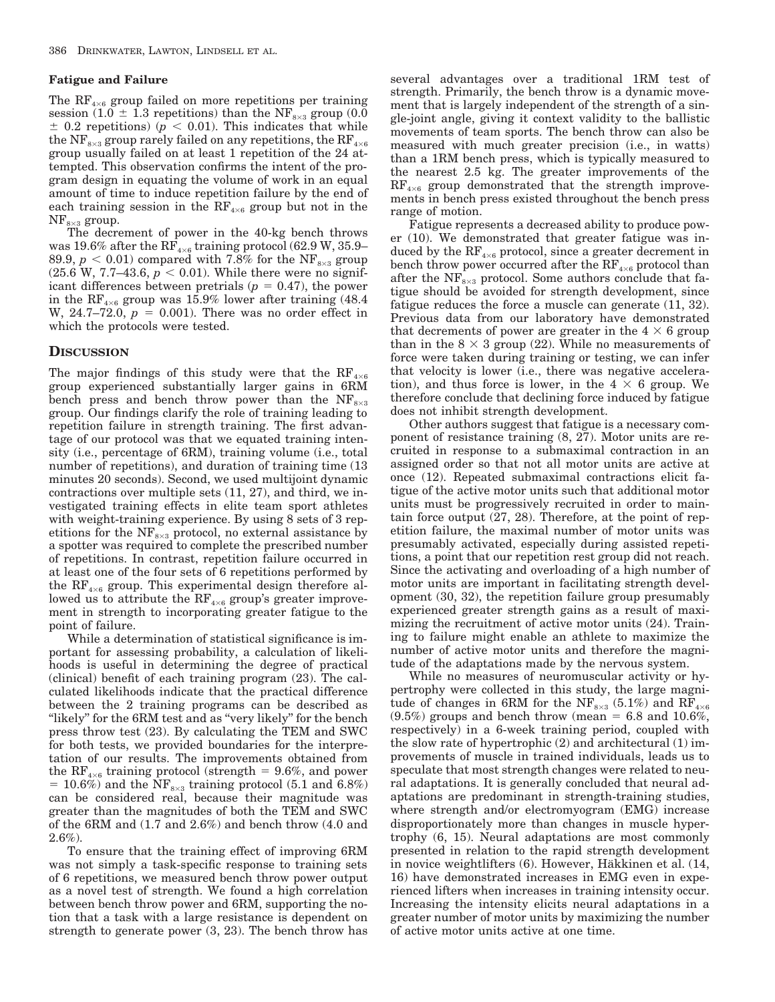## **Fatigue and Failure**

The  $RF_{4\times6}$  group failed on more repetitions per training session (1.0  $\pm$  1.3 repetitions) than the NF<sub>8×3</sub> group (0.0  $\pm$  0.2 repetitions) ( $p < 0.01$ ). This indicates that while the NF<sub>8×3</sub> group rarely failed on any repetitions, the RF<sub>4×6</sub> group usually failed on at least 1 repetition of the 24 attempted. This observation confirms the intent of the program design in equating the volume of work in an equal amount of time to induce repetition failure by the end of each training session in the  $RF_{4\times 6}$  group but not in the  $NF_{8\times3}$  group.

The decrement of power in the 40-kg bench throws was 19.6% after the  $RF_{4\times6}$  training protocol (62.9 W, 35.9– 89.9,  $p < 0.01$ ) compared with 7.8% for the NF<sub>8×3</sub> group (25.6 W, 7.7–43.6,  $p < 0.01$ ). While there were no significant differences between pretrials  $(p = 0.47)$ , the power in the  $RF_{4\times6}$  group was 15.9% lower after training (48.4) W, 24.7–72.0,  $p = 0.001$ ). There was no order effect in which the protocols were tested.

## **DISCUSSION**

The major findings of this study were that the  $RF_4$ group experienced substantially larger gains in 6RM bench press and bench throw power than the  $NF_{8\times3}$ group. Our findings clarify the role of training leading to repetition failure in strength training. The first advantage of our protocol was that we equated training intensity (i.e., percentage of 6RM), training volume (i.e., total number of repetitions), and duration of training time  $(13)$ minutes 20 seconds). Second, we used multijoint dynamic contractions over multiple sets (11, 27), and third, we investigated training effects in elite team sport athletes with weight-training experience. By using 8 sets of 3 repetitions for the  $NF_{8\times3}$  protocol, no external assistance by a spotter was required to complete the prescribed number of repetitions. In contrast, repetition failure occurred in at least one of the four sets of 6 repetitions performed by the  $RF_{4\times 6}$  group. This experimental design therefore allowed us to attribute the  $RF_{4\times 6}$  group's greater improvement in strength to incorporating greater fatigue to the point of failure.

While a determination of statistical significance is important for assessing probability, a calculation of likelihoods is useful in determining the degree of practical (clinical) benefit of each training program (23). The calculated likelihoods indicate that the practical difference between the 2 training programs can be described as "likely" for the 6RM test and as "very likely" for the bench press throw test (23). By calculating the TEM and SWC for both tests, we provided boundaries for the interpretation of our results. The improvements obtained from the RF<sub>4×6</sub> training protocol (strength = 9.6%, and power = 10.6%) and the  $\text{NF}_{8\times3}$  training protocol (5.1 and 6.8%) can be considered real, because their magnitude was greater than the magnitudes of both the TEM and SWC of the 6RM and (1.7 and 2.6%) and bench throw (4.0 and 2.6%).

To ensure that the training effect of improving 6RM was not simply a task-specific response to training sets of 6 repetitions, we measured bench throw power output as a novel test of strength. We found a high correlation between bench throw power and 6RM, supporting the notion that a task with a large resistance is dependent on strength to generate power (3, 23). The bench throw has several advantages over a traditional 1RM test of strength. Primarily, the bench throw is a dynamic movement that is largely independent of the strength of a single-joint angle, giving it context validity to the ballistic movements of team sports. The bench throw can also be measured with much greater precision (i.e., in watts) than a 1RM bench press, which is typically measured to the nearest 2.5 kg. The greater improvements of the  $RF_{4\times 6}$  group demonstrated that the strength improvements in bench press existed throughout the bench press range of motion.

Fatigue represents a decreased ability to produce power (10). We demonstrated that greater fatigue was induced by the  $\text{RF}_{4\times6}$  protocol, since a greater decrement in bench throw power occurred after the  $RF_{4\times 6}$  protocol than after the  $NF_{8\times3}$  protocol. Some authors conclude that fatigue should be avoided for strength development, since fatigue reduces the force a muscle can generate (11, 32). Previous data from our laboratory have demonstrated that decrements of power are greater in the  $4 \times 6$  group than in the  $8 \times 3$  group (22). While no measurements of force were taken during training or testing, we can infer that velocity is lower (i.e., there was negative acceleration), and thus force is lower, in the  $4 \times 6$  group. We therefore conclude that declining force induced by fatigue does not inhibit strength development.

Other authors suggest that fatigue is a necessary component of resistance training (8, 27). Motor units are recruited in response to a submaximal contraction in an assigned order so that not all motor units are active at once (12). Repeated submaximal contractions elicit fatigue of the active motor units such that additional motor units must be progressively recruited in order to maintain force output (27, 28). Therefore, at the point of repetition failure, the maximal number of motor units was presumably activated, especially during assisted repetitions, a point that our repetition rest group did not reach. Since the activating and overloading of a high number of motor units are important in facilitating strength development (30, 32), the repetition failure group presumably experienced greater strength gains as a result of maximizing the recruitment of active motor units (24). Training to failure might enable an athlete to maximize the number of active motor units and therefore the magnitude of the adaptations made by the nervous system.

While no measures of neuromuscular activity or hypertrophy were collected in this study, the large magnitude of changes in 6RM for the NF<sub>8×3</sub> (5.1%) and RF<sub>4×6</sub>  $(9.5\%)$  groups and bench throw (mean = 6.8 and 10.6%, respectively) in a 6-week training period, coupled with the slow rate of hypertrophic  $(2)$  and architectural  $(1)$  improvements of muscle in trained individuals, leads us to speculate that most strength changes were related to neural adaptations. It is generally concluded that neural adaptations are predominant in strength-training studies, where strength and/or electromyogram (EMG) increase disproportionately more than changes in muscle hypertrophy (6, 15). Neural adaptations are most commonly presented in relation to the rapid strength development in novice weightlifters (6). However, Häkkinen et al. (14, 16) have demonstrated increases in EMG even in experienced lifters when increases in training intensity occur. Increasing the intensity elicits neural adaptations in a greater number of motor units by maximizing the number of active motor units active at one time.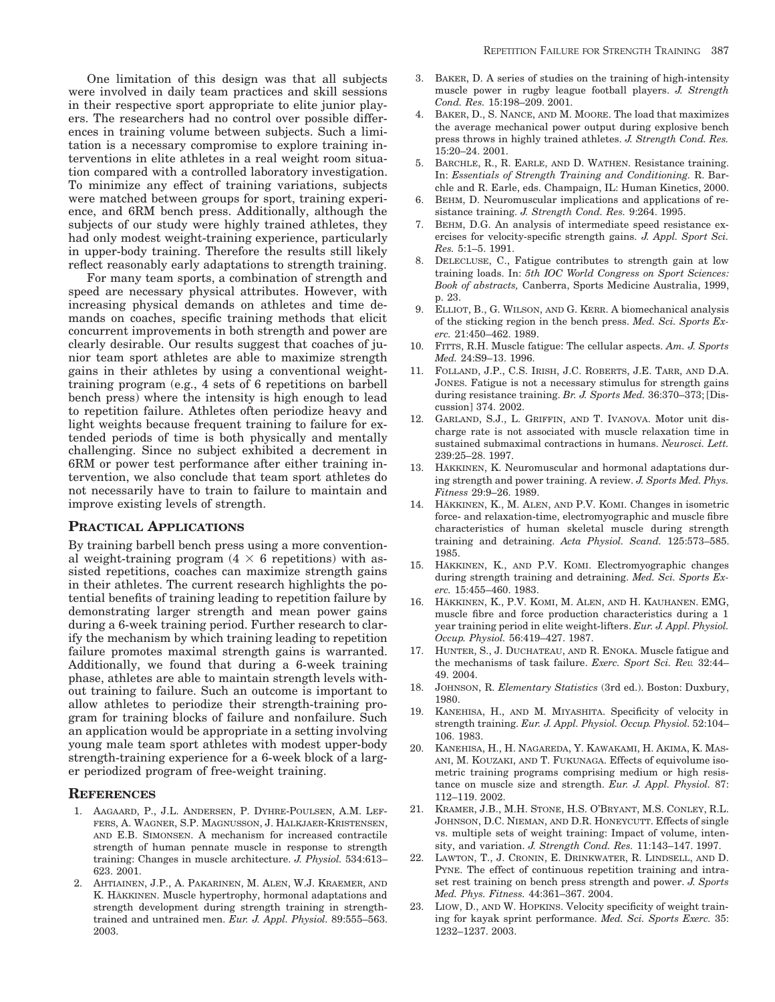One limitation of this design was that all subjects were involved in daily team practices and skill sessions in their respective sport appropriate to elite junior players. The researchers had no control over possible differences in training volume between subjects. Such a limitation is a necessary compromise to explore training interventions in elite athletes in a real weight room situation compared with a controlled laboratory investigation. To minimize any effect of training variations, subjects were matched between groups for sport, training experience, and 6RM bench press. Additionally, although the subjects of our study were highly trained athletes, they had only modest weight-training experience, particularly in upper-body training. Therefore the results still likely reflect reasonably early adaptations to strength training.

For many team sports, a combination of strength and speed are necessary physical attributes. However, with increasing physical demands on athletes and time demands on coaches, specific training methods that elicit concurrent improvements in both strength and power are clearly desirable. Our results suggest that coaches of junior team sport athletes are able to maximize strength gains in their athletes by using a conventional weighttraining program (e.g., 4 sets of 6 repetitions on barbell bench press) where the intensity is high enough to lead to repetition failure. Athletes often periodize heavy and light weights because frequent training to failure for extended periods of time is both physically and mentally challenging. Since no subject exhibited a decrement in 6RM or power test performance after either training intervention, we also conclude that team sport athletes do not necessarily have to train to failure to maintain and improve existing levels of strength.

## **PRACTICAL APPLICATIONS**

By training barbell bench press using a more conventional weight-training program  $(4 \times 6$  repetitions) with assisted repetitions, coaches can maximize strength gains in their athletes. The current research highlights the potential benefits of training leading to repetition failure by demonstrating larger strength and mean power gains during a 6-week training period. Further research to clarify the mechanism by which training leading to repetition failure promotes maximal strength gains is warranted. Additionally, we found that during a 6-week training phase, athletes are able to maintain strength levels without training to failure. Such an outcome is important to allow athletes to periodize their strength-training program for training blocks of failure and nonfailure. Such an application would be appropriate in a setting involving young male team sport athletes with modest upper-body strength-training experience for a 6-week block of a larger periodized program of free-weight training.

## **REFERENCES**

- 1. AAGAARD, P., J.L. ANDERSEN, P. DYHRE-POULSEN, A.M. LEF-FERS, A. WAGNER, S.P. MAGNUSSON, J. HALKJAER-KRISTENSEN, AND E.B. SIMONSEN. A mechanism for increased contractile strength of human pennate muscle in response to strength training: Changes in muscle architecture. *J. Physiol.* 534:613– 623. 2001.
- 2. AHTIAINEN, J.P., A. PAKARINEN, M. ALEN, W.J. KRAEMER, AND K. HÄKKINEN. Muscle hypertrophy, hormonal adaptations and strength development during strength training in strengthtrained and untrained men. *Eur. J. Appl. Physiol.* 89:555–563. 2003.
- 3. BAKER, D. A series of studies on the training of high-intensity muscle power in rugby league football players. *J. Strength Cond. Res.* 15:198–209. 2001.
- 4. BAKER, D., S. NANCE, AND M. MOORE. The load that maximizes the average mechanical power output during explosive bench press throws in highly trained athletes. *J. Strength Cond. Res.* 15:20–24. 2001.
- 5. BARCHLE, R., R. EARLE, AND D. WATHEN. Resistance training. In: *Essentials of Strength Training and Conditioning.* R. Barchle and R. Earle, eds. Champaign, IL: Human Kinetics, 2000.
- BEHM, D. Neuromuscular implications and applications of resistance training. *J. Strength Cond. Res.* 9:264. 1995.
- 7. BEHM, D.G. An analysis of intermediate speed resistance exercises for velocity-specific strength gains. *J. Appl. Sport Sci. Res.* 5:1–5. 1991.
- 8. DELECLUSE, C., Fatigue contributes to strength gain at low training loads. In: *5th IOC World Congress on Sport Sciences: Book of abstracts,* Canberra, Sports Medicine Australia, 1999, p. 23.
- 9. ELLIOT, B., G. WILSON, AND G. KERR. A biomechanical analysis of the sticking region in the bench press. *Med. Sci. Sports Exerc.* 21:450–462. 1989.
- 10. FITTS, R.H. Muscle fatigue: The cellular aspects. *Am. J. Sports Med.* 24:S9–13. 1996.
- 11. FOLLAND, J.P., C.S. IRISH, J.C. ROBERTS, J.E. TARR, AND D.A. JONES. Fatigue is not a necessary stimulus for strength gains during resistance training. *Br. J. Sports Med.* 36:370–373; [Discussion] 374. 2002.
- 12. GARLAND, S.J., L. GRIFFIN, AND T. IVANOVA. Motor unit discharge rate is not associated with muscle relaxation time in sustained submaximal contractions in humans. *Neurosci. Lett.* 239:25–28. 1997.
- 13. HÄKKINEN, K. Neuromuscular and hormonal adaptations during strength and power training. A review. *J. Sports Med. Phys. Fitness* 29:9–26. 1989.
- 14. HÄKKINEN, K., M. ALEN, AND P.V. KOMI. Changes in isometric force- and relaxation-time, electromyographic and muscle fibre characteristics of human skeletal muscle during strength training and detraining. *Acta Physiol. Scand.* 125:573–585. 1985.
- 15. HÄKKINEN, K., AND P.V. KOMI. Electromyographic changes during strength training and detraining. *Med. Sci. Sports Exerc.* 15:455–460. 1983.
- 16. HÄKKINEN, K., P.V. KOMI, M. ALEN, AND H. KAUHANEN. EMG, muscle fibre and force production characteristics during a 1 year training period in elite weight-lifters. *Eur. J. Appl. Physiol. Occup. Physiol.* 56:419–427. 1987.
- 17. HUNTER, S., J. DUCHATEAU, AND R. ENOKA. Muscle fatigue and the mechanisms of task failure. *Exerc. Sport Sci. Rev.* 32:44– 49. 2004.
- 18. JOHNSON, R. *Elementary Statistics* (3rd ed.). Boston: Duxbury, 1980.
- 19. KANEHISA, H., AND M. MIYASHITA. Specificity of velocity in strength training. *Eur. J. Appl. Physiol. Occup. Physiol.* 52:104– 106. 1983.
- 20. KANEHISA, H., H. NAGAREDA, Y. KAWAKAMI, H. AKIMA, K. MAS-ANI, M. KOUZAKI, AND T. FUKUNAGA. Effects of equivolume isometric training programs comprising medium or high resistance on muscle size and strength. *Eur. J. Appl. Physiol.* 87: 112–119. 2002.
- 21. KRAMER, J.B., M.H. STONE, H.S. O'BRYANT, M.S. CONLEY, R.L. JOHNSON, D.C. NIEMAN, AND D.R. HONEYCUTT. Effects of single vs. multiple sets of weight training: Impact of volume, intensity, and variation. *J. Strength Cond. Res.* 11:143–147. 1997.
- 22. LAWTON, T., J. CRONIN, E. DRINKWATER, R. LINDSELL, AND D. PYNE. The effect of continuous repetition training and intraset rest training on bench press strength and power. *J. Sports Med. Phys. Fitness.* 44:361–367. 2004.
- 23. LIOW, D., AND W. HOPKINS. Velocity specificity of weight training for kayak sprint performance. *Med. Sci. Sports Exerc.* 35: 1232–1237. 2003.